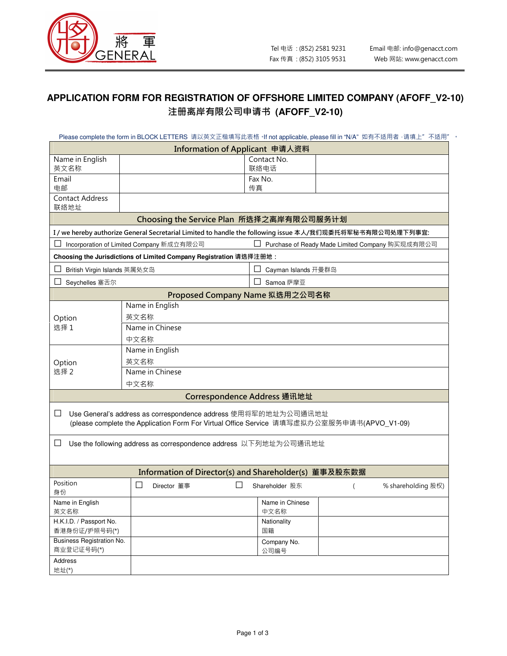

## **APPLICATION FORM FOR REGISTRATION OF OFFSHORE LIMITED COMPANY (AFOFF\_V2-10)**  注册离岸有限公司申请书 **(AFOFF\_V2-10)**

|                                                                                                           |                                                                    | Please complete the form in BLOCK LETTERS 请以英文正楷填写此表格 ·If not applicable, please fill in "N/A"如有不适用者 ·请填上"不适用" 。 |  |  |  |  |  |  |  |  |
|-----------------------------------------------------------------------------------------------------------|--------------------------------------------------------------------|------------------------------------------------------------------------------------------------------------------|--|--|--|--|--|--|--|--|
|                                                                                                           | Information of Applicant 申请人资料                                     |                                                                                                                  |  |  |  |  |  |  |  |  |
| Name in English<br>英文名称                                                                                   |                                                                    | Contact No.<br>联络电话                                                                                              |  |  |  |  |  |  |  |  |
| Email                                                                                                     |                                                                    | Fax No.                                                                                                          |  |  |  |  |  |  |  |  |
| 电邮                                                                                                        |                                                                    | 传真                                                                                                               |  |  |  |  |  |  |  |  |
| <b>Contact Address</b>                                                                                    |                                                                    |                                                                                                                  |  |  |  |  |  |  |  |  |
| 联络地址<br>Choosing the Service Plan 所选择之离岸有限公司服务计划                                                          |                                                                    |                                                                                                                  |  |  |  |  |  |  |  |  |
| I / we hereby authorize General Secretarial Limited to handle the following issue 本人/我们现委托将军秘书有限公司处理下列事宜: |                                                                    |                                                                                                                  |  |  |  |  |  |  |  |  |
|                                                                                                           | Incorporation of Limited Company 新成立有限公司                           | Purchase of Ready Made Limited Company 购买现成有限公司                                                                  |  |  |  |  |  |  |  |  |
|                                                                                                           | Choosing the Jurisdictions of Limited Company Registration 请选择注册地: |                                                                                                                  |  |  |  |  |  |  |  |  |
| British Virgin Islands 英属处女岛                                                                              |                                                                    | Cayman Islands 开曼群岛                                                                                              |  |  |  |  |  |  |  |  |
| Seychelles 塞舌尔                                                                                            |                                                                    | Samoa 萨摩亚                                                                                                        |  |  |  |  |  |  |  |  |
| Proposed Company Name 拟选用之公司名称                                                                            |                                                                    |                                                                                                                  |  |  |  |  |  |  |  |  |
|                                                                                                           | Name in English                                                    |                                                                                                                  |  |  |  |  |  |  |  |  |
| Option                                                                                                    | 英文名称                                                               |                                                                                                                  |  |  |  |  |  |  |  |  |
| 选择1                                                                                                       | Name in Chinese                                                    |                                                                                                                  |  |  |  |  |  |  |  |  |
|                                                                                                           | 中文名称                                                               |                                                                                                                  |  |  |  |  |  |  |  |  |
|                                                                                                           |                                                                    | Name in English                                                                                                  |  |  |  |  |  |  |  |  |
| Option                                                                                                    | 英文名称                                                               |                                                                                                                  |  |  |  |  |  |  |  |  |
| 选择 2                                                                                                      |                                                                    | Name in Chinese                                                                                                  |  |  |  |  |  |  |  |  |
|                                                                                                           | 中文名称                                                               |                                                                                                                  |  |  |  |  |  |  |  |  |
|                                                                                                           |                                                                    | Correspondence Address 通讯地址                                                                                      |  |  |  |  |  |  |  |  |
| ப                                                                                                         | Use General's address as correspondence address 使用将军的地址为公司通讯地址     | (please complete the Application Form For Virtual Office Service 请填写虚拟办公室服务申请书(APVO_V1-09)                       |  |  |  |  |  |  |  |  |
| ப                                                                                                         | Use the following address as correspondence address 以下列地址为公司通讯地址   |                                                                                                                  |  |  |  |  |  |  |  |  |
|                                                                                                           |                                                                    | Information of Director(s) and Shareholder(s) 董事及股东数据                                                            |  |  |  |  |  |  |  |  |
| Position<br>身份                                                                                            | ⊔<br>Director 董事                                                   | % shareholding 股权)<br>Shareholder 股东                                                                             |  |  |  |  |  |  |  |  |
| Name in English<br>英文名称                                                                                   |                                                                    | Name in Chinese<br>中文名称                                                                                          |  |  |  |  |  |  |  |  |
| H.K.I.D. / Passport No.<br>香港身份证/护照号码(*)                                                                  |                                                                    | Nationality<br>国籍                                                                                                |  |  |  |  |  |  |  |  |
| Business Registration No.<br>商业登记证号码(*)                                                                   |                                                                    | Company No.<br>公司编号                                                                                              |  |  |  |  |  |  |  |  |
| Address<br>地址(*)                                                                                          |                                                                    |                                                                                                                  |  |  |  |  |  |  |  |  |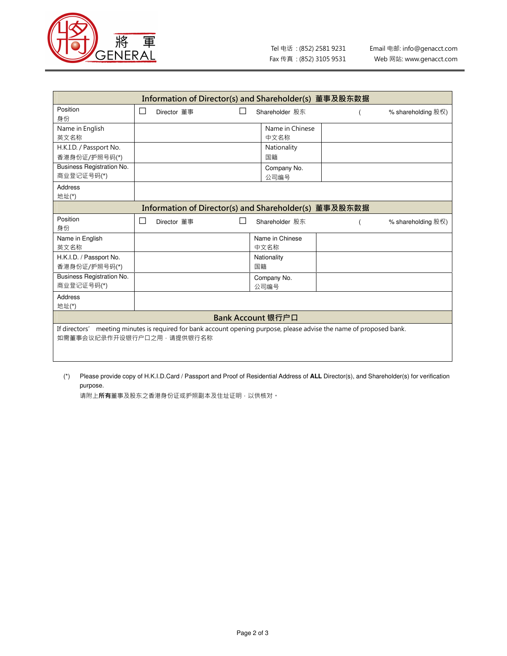

| Information of Director(s) and Shareholder(s) 董事及股东数据                                                                |                             |   |                 |  |                    |  |  |  |  |
|----------------------------------------------------------------------------------------------------------------------|-----------------------------|---|-----------------|--|--------------------|--|--|--|--|
| Position<br>身份                                                                                                       | $\mathsf{L}$<br>Director 董事 | П | Shareholder 股东  |  | % shareholding 股权) |  |  |  |  |
| Name in English                                                                                                      |                             |   | Name in Chinese |  |                    |  |  |  |  |
| 英文名称                                                                                                                 |                             |   | 中文名称            |  |                    |  |  |  |  |
| H.K.I.D. / Passport No.                                                                                              |                             |   | Nationality     |  |                    |  |  |  |  |
| 香港身份证/护照号码(*)                                                                                                        |                             |   | 国籍              |  |                    |  |  |  |  |
| <b>Business Registration No.</b>                                                                                     |                             |   | Company No.     |  |                    |  |  |  |  |
| 商业登记证号码(*)                                                                                                           |                             |   | 公司编号            |  |                    |  |  |  |  |
| Address                                                                                                              |                             |   |                 |  |                    |  |  |  |  |
| 地址(*)                                                                                                                |                             |   |                 |  |                    |  |  |  |  |
| Information of Director(s) and Shareholder(s) 董事及股东数据                                                                |                             |   |                 |  |                    |  |  |  |  |
| Position                                                                                                             | П<br>Director 董事            |   | Shareholder 股东  |  | % shareholding 股权) |  |  |  |  |
| 身份                                                                                                                   |                             |   |                 |  |                    |  |  |  |  |
| Name in English                                                                                                      |                             |   | Name in Chinese |  |                    |  |  |  |  |
| 英文名称                                                                                                                 |                             |   | 中文名称            |  |                    |  |  |  |  |
| H.K.I.D. / Passport No.                                                                                              |                             |   | Nationality     |  |                    |  |  |  |  |
| 香港身份证/护照号码(*)                                                                                                        |                             |   | 国籍              |  |                    |  |  |  |  |
| Business Registration No.                                                                                            |                             |   | Company No.     |  |                    |  |  |  |  |
| 商业登记证号码(*)                                                                                                           |                             |   | 公司编号            |  |                    |  |  |  |  |
| <b>Address</b>                                                                                                       |                             |   |                 |  |                    |  |  |  |  |
| 地址(*)                                                                                                                |                             |   |                 |  |                    |  |  |  |  |
| Bank Account 银行户口                                                                                                    |                             |   |                 |  |                    |  |  |  |  |
| If directors' meeting minutes is required for bank account opening purpose, please advise the name of proposed bank. |                             |   |                 |  |                    |  |  |  |  |
| 如需董事会议纪录作开设银行户口之用,请提供银行名称                                                                                            |                             |   |                 |  |                    |  |  |  |  |
|                                                                                                                      |                             |   |                 |  |                    |  |  |  |  |
|                                                                                                                      |                             |   |                 |  |                    |  |  |  |  |

(\*) Please provide copy of H.K.I.D.Card / Passport and Proof of Residential Address of **ALL** Director(s), and Shareholder(s) for verification purpose.

请附上**所有**董事及股东之香港身份证或护照副本及住址证明,以供核对。